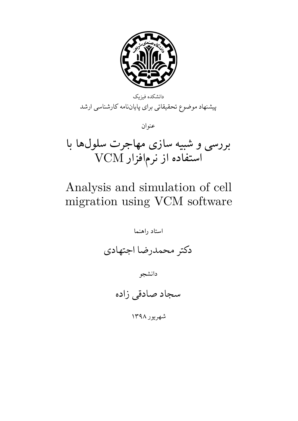

بررسی و شبیه سازی مهاجرت سلولها با  $\mathbf{\mathrm{VCM}}$ استفاده از نرم|فزار  $\mathbf{\mathrm{VCM}}$ 

## Analysis and simulation of cell migration using VCM software

استاد راهنما دکتر محمدرضا اجتهادی دانشجو سجاد صادقی زاده شهریور ١٣٩٨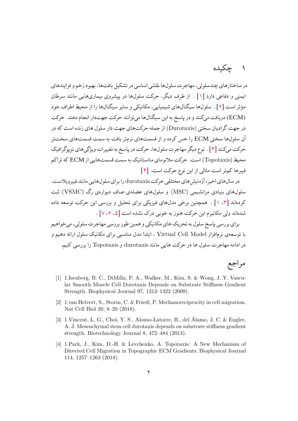## ۱ چکیده

در ساختارهای چندسلولی، مهاجرت سلولها نقشی اساسی در تشکیل بافتها، بهبود زخم و فرایندهای ایمنی و دفاعی دارد [۱] . از طرف دیگر، حرکت سلولها در پیشروی بیماریهایی مانند سرطان مؤثر است [۲] . سلولها سیگنالهای شیمیایی، مکانیکی و سایر سیگنالها را از محیط اطراف خود (ECM) دریافت می[کنن](#page-1-0)د و در پاسخ به این سیگنال ها میتوانند حرکت جهتدار انجام دهند. حرکت در جهت گر[اد](#page-1-1)یان سختͬ (Durotaxis (از جمله حرکت های جهت دار سلول های زنده است که در آن سلول ها سختͬ ECM را حس کرده و از قسمت های نرم تر بافت به سمت قسمت های سخت تر حرکت میکنند [۳] . نوع دیگر مهاجرت سلولها، حرکت در پاسخ به تغییرات ویژگیهای توپوگرافیک محیط (Topotaxis) است. حرکت ملانومای متاستاتیک به سمت قسمت هایی از ECM که تراکم فیبر ها کم تر اس[ت](#page-1-2) مثالͬ از این نوع حرکت است. [۴]

در سال های اخیر، آزمایش های مختلفͬ حرکت durotaxis را برای سلول هایی مانند فیبروبلاست، سلول های بنیادی مزانشیمͬ (MSC (و سلول ها[ی](#page-1-3) عضله ی صاف دیواره ی رگ (VSMC (ثبت کردهاند [۳] . [ممچنین برخی مدلهای فیزیکی برای تحلیل و بررسی این حرکت توسعه داده شدهاند ولی مکانیزم این حرکت هنوز به خوبی درک نشده است [۵، ۶، ۷] .

برای ب[ررس](#page-1-2)ی پاسخ سلول به تحریک های مکانیکی و همین طور بررسی مهاجرت سلولی، می خواهیم با توسعه ی نرمافزار Virtual Cell Model ، ابتدا مدل مناسب[ی ب](#page-2-2)ر[ای](#page-2-1) مکانیک سلول ارائه دهیم و در ادامه مهاجرت سلول ها در حرکت هایی مانند durotaxis و Topotaxis را بررسͬ کنیم.

## مراجع

- [1] 1.Isenberg, B. C., DiMilla, P. A., Walker, M., Kim, S. & Wong, J. Y. Vascular Smooth Muscle Cell Durotaxis Depends on Substrate Stiffness Gradient Strength. Biophysical Journal 97, 1313–1322 (2009).
- <span id="page-1-0"></span>[2] 1.van Helvert, S., Storm, C. & Friedl, P. Mechanoreciprocity in cell migration. Nat Cell Biol 20, 8–20 (2018).
- <span id="page-1-1"></span>[3] 1.Vincent, L. G., Choi, Y. S., Alonso-Latorre, B., del Álamo, J. C. & Engler, A. J. Mesenchymal stem cell durotaxis depends on substrate stiffness gradient strength. Biotechnology Journal 8, 472–484 (2013).
- <span id="page-1-3"></span><span id="page-1-2"></span>[4] 1.Park, J., Kim, D.-H. & Levchenko, A. Topotaxis: A New Mechanism of Directed Cell Migration in Topographic ECM Gradients. Biophysical Journal 114, 1257–1263 (2018).